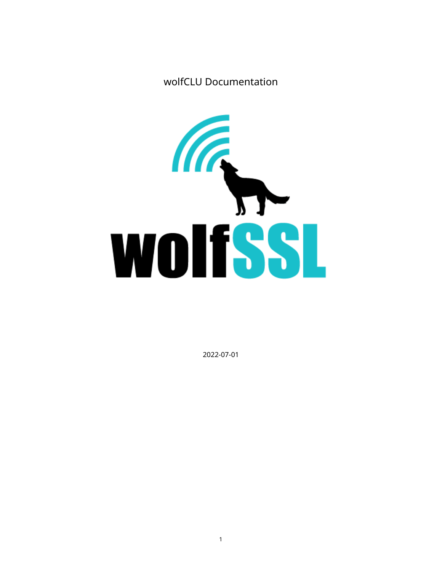# wolfCLU Documentation



2022-07-01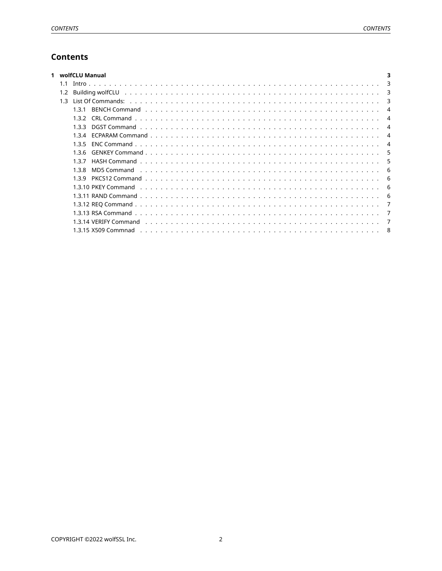## **Contents**

<span id="page-1-0"></span>

|     | wolfCLU Manual                                                                                                             |
|-----|----------------------------------------------------------------------------------------------------------------------------|
|     | $\mathbf{3}$                                                                                                               |
|     | 3                                                                                                                          |
| 1.3 | 3                                                                                                                          |
|     | 131                                                                                                                        |
|     | 132                                                                                                                        |
|     | 133                                                                                                                        |
|     | 134                                                                                                                        |
|     | 135                                                                                                                        |
|     | 136<br>5                                                                                                                   |
|     | 137                                                                                                                        |
|     | MD5 Command research research with the series of the series of the series of the series of the series of the s<br>138<br>6 |
|     | 139<br>-6                                                                                                                  |
|     | -6                                                                                                                         |
|     | -6                                                                                                                         |
|     |                                                                                                                            |
|     |                                                                                                                            |
|     |                                                                                                                            |
|     |                                                                                                                            |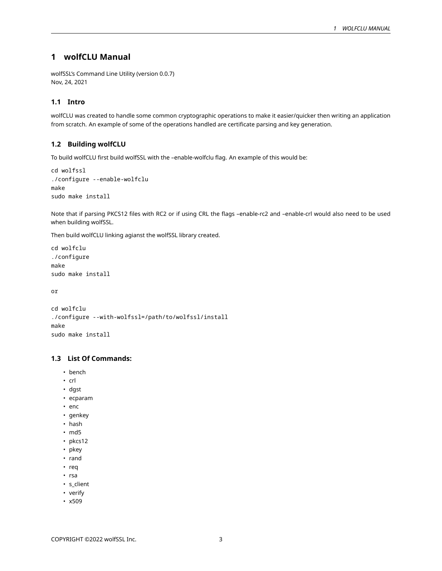## **1 wolfCLU Manual**

wolfSSL's Command Line Utility (version 0.0.7) Nov, 24, 2021

## <span id="page-2-0"></span>**1.1 Intro**

wolfCLU was created to handle some common cryptographic operations to make it easier/quicker then writing an application from scratch. An example of some of the operations handled are certificate parsing and key generation.

## <span id="page-2-1"></span>**1.2 Building wolfCLU**

To build wolfCLU first build wolfSSL with the –enable-wolfclu flag. An example of this would be:

```
cd wolfssl
./configure --enable-wolfclu
make
sudo make install
```
Note that if parsing PKCS12 files with RC2 or if using CRL the flags –enable-rc2 and –enable-crl would also need to be used when building wolfSSL.

Then build wolfCLU linking agianst the wolfSSL library created.

```
cd wolfclu
./configure
make
sudo make install
```
or

```
cd wolfclu
./configure --with-wolfssl=/path/to/wolfssl/install
make
sudo make install
```
## <span id="page-2-2"></span>**1.3 List Of Commands:**

- bench
- crl
- dgst
- ecparam
- enc
- genkey
- hash
- md5
- pkcs12
- pkey
- rand
- req
- rsa
- s\_client
- verify
- <span id="page-2-3"></span>• x509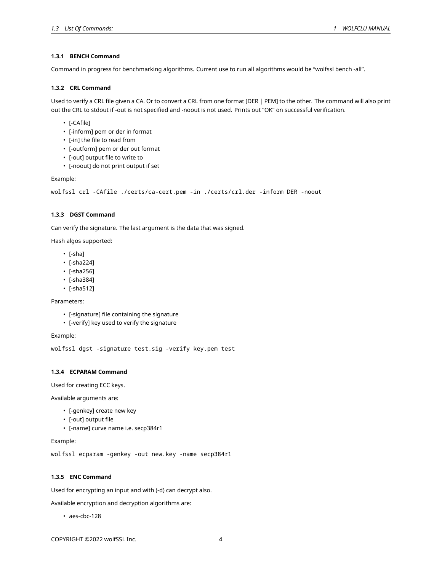#### **1.3.1 BENCH Command**

<span id="page-3-0"></span>Command in progress for benchmarking algorithms. Current use to run all algorithms would be "wolfssl bench -all".

#### **1.3.2 CRL Command**

Used to verify a CRL file given a CA. Or to convert a CRL from one format [DER | PEM] to the other. The command will also print out the CRL to stdout if -out is not specified and -noout is not used. Prints out "OK" on successful verification.

- [-CAfile]
- [-inform] pem or der in format
- [-in] the file to read from
- [-outform] pem or der out format
- [-out] output file to write to
- [-noout] do not print output if set

Example:

```
wolfssl crl -CAfile ./certs/ca-cert.pem -in ./certs/crl.der -inform DER -noout
```
#### <span id="page-3-1"></span>**1.3.3 DGST Command**

Can verify the signature. The last argument is the data that was signed.

Hash algos supported:

- [-sha]
- [-sha224]
- [-sha256]
- [-sha384]
- [-sha512]

Parameters:

- [-signature] file containing the signature
- [-verify] key used to verify the signature

Example:

wolfssl dgst -signature test.sig -verify key.pem test

### <span id="page-3-2"></span>**1.3.4 ECPARAM Command**

Used for creating ECC keys.

Available arguments are:

- [-genkey] create new key
- [-out] output file
- [-name] curve name i.e. secp384r1

Example:

wolfssl ecparam -genkey -out new.key -name secp384r1

## <span id="page-3-3"></span>**1.3.5 ENC Command**

Used for encrypting an input and with (-d) can decrypt also.

Available encryption and decryption algorithms are:

• aes-cbc-128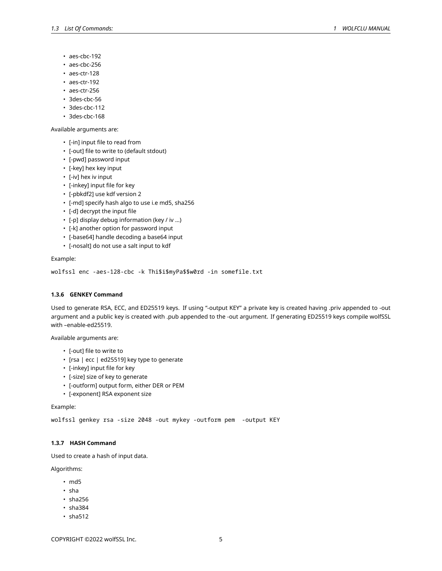- aes-cbc-192
- aes-cbc-256
- aes-ctr-128
- aes-ctr-192
- aes-ctr-256
- 3des-cbc-56
- 3des-cbc-112
- 3des-cbc-168

Available arguments are:

- [-in] input file to read from
- [-out] file to write to (default stdout)
- [-pwd] password input
- [-key] hex key input
- [-iv] hex iv input
- [-inkey] input file for key
- [-pbkdf2] use kdf version 2
- [-md] specify hash algo to use i.e md5, sha256
- [-d] decrypt the input file
- [-p] display debug information (key / iv …)
- [-k] another option for password input
- [-base64] handle decoding a base64 input
- [-nosalt] do not use a salt input to kdf

#### Example:

wolfssl enc -aes-128-cbc -k Thi\$i\$myPa\$\$w0rd -in somefile.txt

#### <span id="page-4-0"></span>**1.3.6 GENKEY Command**

Used to generate RSA, ECC, and ED25519 keys. If using "-output KEY" a private key is created having .priv appended to -out argument and a public key is created with .pub appended to the -out argument. If generating ED25519 keys compile wolfSSL with –enable-ed25519.

Available arguments are:

- [-out] file to write to
- [rsa | ecc | ed25519] key type to generate
- [-inkey] input file for key
- [-size] size of key to generate
- [-outform] output form, either DER or PEM
- [-exponent] RSA exponent size

Example:

wolfssl genkey rsa -size 2048 -out mykey -outform pem -output KEY

#### <span id="page-4-1"></span>**1.3.7 HASH Command**

Used to create a hash of input data.

Algorithms:

- md5
- sha
- sha256
- sha384
- sha512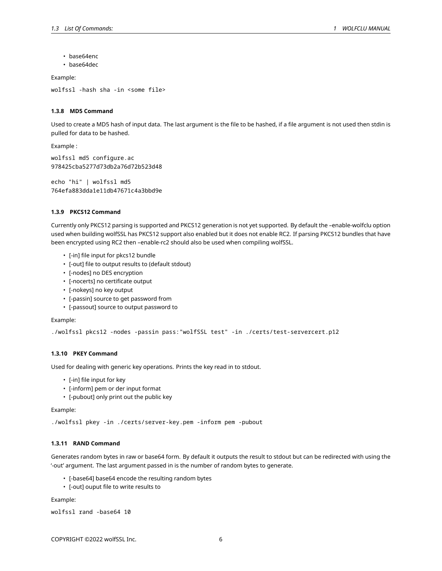- hase64enc
- base64dec

Example:

<span id="page-5-0"></span>wolfssl -hash sha -in <some file>

## **1.3.8 MD5 Command**

Used to create a MD5 hash of input data. The last argument is the file to be hashed, if a file argument is not used then stdin is pulled for data to be hashed.

Example :

```
wolfssl md5 configure.ac
978425cba5277d73db2a76d72b523d48
```
echo "hi" | wolfssl md5 764efa883dda1e11db47671c4a3bbd9e

#### <span id="page-5-1"></span>**1.3.9 PKCS12 Command**

Currently only PKCS12 parsing is supported and PKCS12 generation is not yet supported. By default the –enable-wolfclu option used when building wolfSSL has PKCS12 support also enabled but it does not enable RC2. If parsing PKCS12 bundles that have been encrypted using RC2 then –enable-rc2 should also be used when compiling wolfSSL.

- [-in] file input for pkcs12 bundle
- [-out] file to output results to (default stdout)
- [-nodes] no DES encryption
- [-nocerts] no certificate output
- [-nokeys] no key output
- [-passin] source to get password from
- [-passout] source to output password to

Example:

```
./wolfssl pkcs12 -nodes -passin pass:"wolfSSL test" -in ./certs/test-servercert.p12
```
#### <span id="page-5-2"></span>**1.3.10 PKEY Command**

Used for dealing with generic key operations. Prints the key read in to stdout.

- [-in] file input for key
- [-inform] pem or der input format
- [-pubout] only print out the public key

Example:

```
./wolfssl pkey -in ./certs/server-key.pem -inform pem -pubout
```
### **1.3.11 RAND Command**

Generates random bytes in raw or base64 form. By default it outputs the result to stdout but can be redirected with using the '-out' argument. The last argument passed in is the number of random bytes to generate.

- [-base64] base64 encode the resulting random bytes
- [-out] ouput file to write results to

Example:

```
wolfssl rand -base64 10
```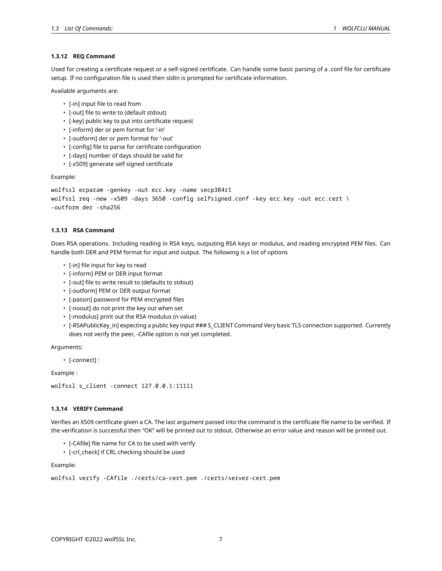#### **1.3.12 REQ Command**

Used for creating a certificate request or a self-signed certificate. Can handle some basic parsing of a .conf file for certificate setup. If no configuration file is used then stdin is prompted for certificate information.

Available arguments are:

- [-in] input file to read from
- [-out] file to write to (default stdout)
- [-key] public key to put into certificate request
- [-inform] der or pem format for '-in'
- [-outform] der or pem format for '-out'
- [-config] file to parse for certificate configuration
- [-days] number of days should be valid for
- [-x509] generate self signed certificate

Example:

```
wolfssl ecparam -genkey -out ecc.key -name secp384r1
wolfssl req -new -x509 -days 3650 -config selfsigned.conf -key ecc.key -out ecc.cert \
-outform der -sha256
```
## <span id="page-6-0"></span>**1.3.13 RSA Command**

Does RSA operations. Including reading in RSA keys, outputing RSA keys or modulus, and reading encrypted PEM files. Can handle both DER and PEM format for input and output. The following is a list of options

- [-in] file input for key to read
- [-inform] PEM or DER input format
- [-out] file to write result to (defaults to stdout)
- [-outform] PEM or DER output format
- [-passin] password for PEM encrypted files
- [-noout] do not print the key out when set
- [-modulus] print out the RSA modulus (n value)
- [-RSAPublicKey\_in] expecting a public key input ### S\_CLIENT Command Very basic TLS connection supported. Currently does not verify the peer, -CAfile option is not yet completed.

Arguments:

• [-connect] :

Example :

```
wolfssl s_client -connect 127.0.0.1:11111
```
## <span id="page-6-1"></span>**1.3.14 VERIFY Command**

Verifies an X509 certificate given a CA. The last argument passed into the command is the certificate file name to be verified. If the verification is successful then "OK" will be printed out to stdout. Otherwise an error value and reason will be printed out.

- [-CAfile] file name for CA to be used with verify
- [-crl\_check] if CRL checking should be used

Example:

```
wolfssl verify -CAfile ./certs/ca-cert.pem ./certs/server-cert.pem
```